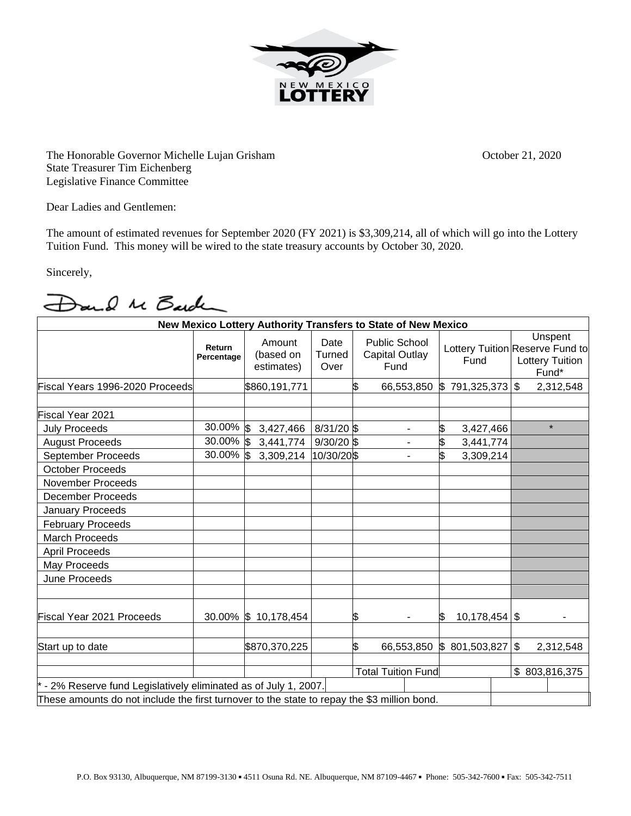

The Honorable Governor Michelle Lujan Grisham October 21, 2020 State Treasurer Tim Eichenberg Legislative Finance Committee

Dear Ladies and Gentlemen:

The amount of estimated revenues for September 2020 (FY 2021) is \$3,309,214, all of which will go into the Lottery Tuition Fund. This money will be wired to the state treasury accounts by October 30, 2020.

Sincerely,

Dand Me Barden

| New Mexico Lottery Authority Transfers to State of New Mexico                               |                      |                                   |                        |                           |                                                       |                       |  |                                                                        |           |
|---------------------------------------------------------------------------------------------|----------------------|-----------------------------------|------------------------|---------------------------|-------------------------------------------------------|-----------------------|--|------------------------------------------------------------------------|-----------|
|                                                                                             | Return<br>Percentage | Amount<br>(based on<br>estimates) | Date<br>Turned<br>Over |                           | <b>Public School</b><br><b>Capital Outlay</b><br>Fund | Fund                  |  | Unspent<br>Lottery Tuition Reserve Fund to<br>Lottery Tuition<br>Fund* |           |
| Fiscal Years 1996-2020 Proceeds                                                             |                      | \$860,191,771                     |                        | \$                        | 66,553,850                                            | \$791,325,373         |  | \$                                                                     | 2,312,548 |
| Fiscal Year 2021                                                                            |                      |                                   |                        |                           |                                                       |                       |  |                                                                        |           |
| <b>July Proceeds</b>                                                                        | $30.00\%$ \$         | 3,427,466                         | 8/31/20 \$             |                           |                                                       | 3,427,466             |  |                                                                        | $\star$   |
| <b>August Proceeds</b>                                                                      | 30.00% \$            | 3,441,774                         | $9/30/20$ \$           |                           | ۰                                                     | \$<br>3,441,774       |  |                                                                        |           |
| September Proceeds                                                                          | 30.00% \$            | 3,309,214                         | 10/30/20\$             |                           | ٠                                                     | 3,309,214             |  |                                                                        |           |
| <b>October Proceeds</b>                                                                     |                      |                                   |                        |                           |                                                       |                       |  |                                                                        |           |
| <b>November Proceeds</b>                                                                    |                      |                                   |                        |                           |                                                       |                       |  |                                                                        |           |
| <b>December Proceeds</b>                                                                    |                      |                                   |                        |                           |                                                       |                       |  |                                                                        |           |
| <b>January Proceeds</b>                                                                     |                      |                                   |                        |                           |                                                       |                       |  |                                                                        |           |
| <b>February Proceeds</b>                                                                    |                      |                                   |                        |                           |                                                       |                       |  |                                                                        |           |
| <b>March Proceeds</b>                                                                       |                      |                                   |                        |                           |                                                       |                       |  |                                                                        |           |
| <b>April Proceeds</b>                                                                       |                      |                                   |                        |                           |                                                       |                       |  |                                                                        |           |
| May Proceeds                                                                                |                      |                                   |                        |                           |                                                       |                       |  |                                                                        |           |
| June Proceeds                                                                               |                      |                                   |                        |                           |                                                       |                       |  |                                                                        |           |
| Fiscal Year 2021 Proceeds                                                                   |                      | 30.00% \$10,178,454               |                        | S                         |                                                       | $10,178,454$ \$<br>SS |  |                                                                        |           |
| Start up to date                                                                            |                      | \$870,370,225                     |                        | \$                        | 66,553,850                                            | \$801,503,827         |  | $\mathfrak{F}$                                                         | 2,312,548 |
|                                                                                             |                      |                                   |                        | <b>Total Tuition Fund</b> |                                                       |                       |  | \$803,816,375                                                          |           |
| - 2% Reserve fund Legislatively eliminated as of July 1, 2007.                              |                      |                                   |                        |                           |                                                       |                       |  |                                                                        |           |
| These amounts do not include the first turnover to the state to repay the \$3 million bond. |                      |                                   |                        |                           |                                                       |                       |  |                                                                        |           |